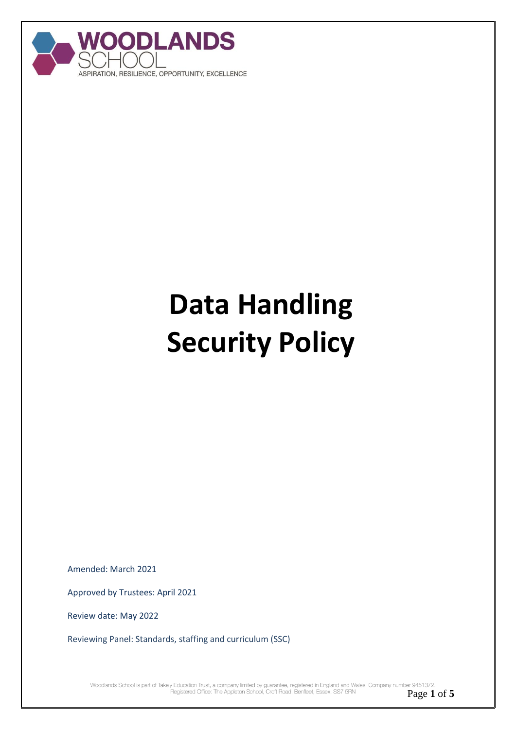

# **Data Handling Security Policy**

Amended: March 2021

Approved by Trustees: April 2021

Review date: May 2022

Reviewing Panel: Standards, staffing and curriculum (SSC)

Woodlands School is part of Takely Education Trust, a company limited by guarantee, registered in England and Wales. Company number 9451372. Registered Office: The Appleton School, Croft Road, Benfleet, Essex, SS7 5RN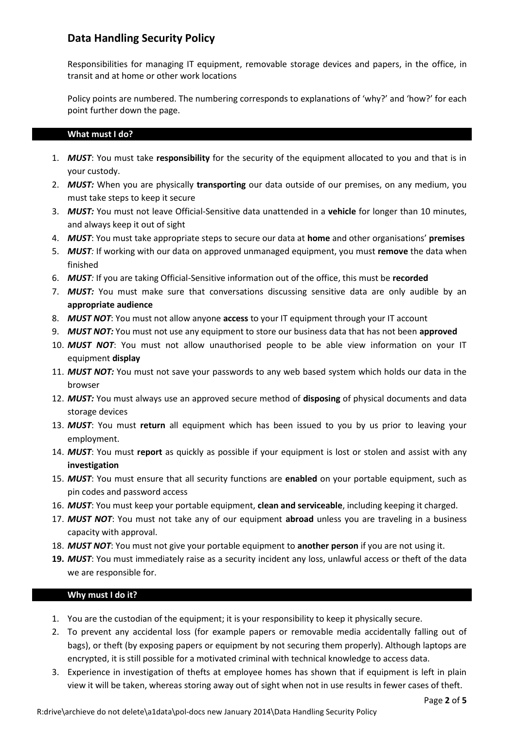# **Data Handling Security Policy**

Responsibilities for managing IT equipment, removable storage devices and papers, in the office, in transit and at home or other work locations

Policy points are numbered. The numbering corresponds to explanations of 'why?' and 'how?' for each point further down the page.

## **What must I do?**

- 1. *MUST*: You must take **responsibility** for the security of the equipment allocated to you and that is in your custody.
- 2. *MUST:* When you are physically **transporting** our data outside of our premises, on any medium, you must take steps to keep it secure
- 3. *MUST:* You must not leave Official-Sensitive data unattended in a **vehicle** for longer than 10 minutes, and always keep it out of sight
- 4. *MUST*: You must take appropriate steps to secure our data at **home** and other organisations' **premises**
- 5. *MUST:* If working with our data on approved unmanaged equipment, you must **remove** the data when finished
- 6. *MUST:* If you are taking Official-Sensitive information out of the office, this must be **recorded**
- 7. *MUST:* You must make sure that conversations discussing sensitive data are only audible by an **appropriate audience**
- 8. *MUST NOT*: You must not allow anyone **access** to your IT equipment through your IT account
- 9. *MUST NOT:* You must not use any equipment to store our business data that has not been **approved**
- 10. *MUST NOT*: You must not allow unauthorised people to be able view information on your IT equipment **display**
- 11. *MUST NOT:* You must not save your passwords to any web based system which holds our data in the browser
- 12. *MUST:* You must always use an approved secure method of **disposing** of physical documents and data storage devices
- 13. *MUST*: You must **return** all equipment which has been issued to you by us prior to leaving your employment.
- 14. *MUST*: You must **report** as quickly as possible if your equipment is lost or stolen and assist with any **investigation**
- 15. *MUST*: You must ensure that all security functions are **enabled** on your portable equipment, such as pin codes and password access
- 16. *MUST*: You must keep your portable equipment, **clean and serviceable**, including keeping it charged.
- 17. *MUST NOT*: You must not take any of our equipment **abroad** unless you are traveling in a business capacity with approval.
- 18. *MUST NOT*: You must not give your portable equipment to **another person** if you are not using it.
- **19.** *MUST*: You must immediately raise as a security incident any loss, unlawful access or theft of the data we are responsible for.

## **Why must I do it?**

- 1. You are the custodian of the equipment; it is your responsibility to keep it physically secure.
- 2. To prevent any accidental loss (for example papers or removable media accidentally falling out of bags), or theft (by exposing papers or equipment by not securing them properly). Although laptops are encrypted, it is still possible for a motivated criminal with technical knowledge to access data.
- 3. Experience in investigation of thefts at employee homes has shown that if equipment is left in plain view it will be taken, whereas storing away out of sight when not in use results in fewer cases of theft.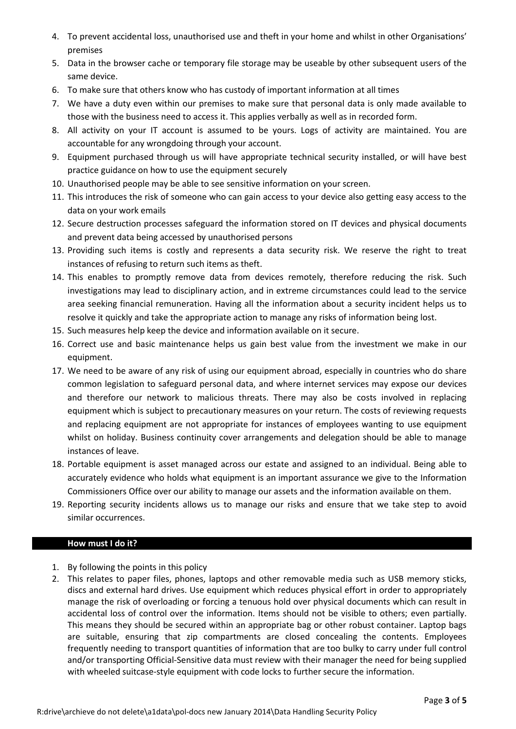- 4. To prevent accidental loss, unauthorised use and theft in your home and whilst in other Organisations' premises
- 5. Data in the browser cache or temporary file storage may be useable by other subsequent users of the same device.
- 6. To make sure that others know who has custody of important information at all times
- 7. We have a duty even within our premises to make sure that personal data is only made available to those with the business need to access it. This applies verbally as well as in recorded form.
- 8. All activity on your IT account is assumed to be yours. Logs of activity are maintained. You are accountable for any wrongdoing through your account.
- 9. Equipment purchased through us will have appropriate technical security installed, or will have best practice guidance on how to use the equipment securely
- 10. Unauthorised people may be able to see sensitive information on your screen.
- 11. This introduces the risk of someone who can gain access to your device also getting easy access to the data on your work emails
- 12. Secure destruction processes safeguard the information stored on IT devices and physical documents and prevent data being accessed by unauthorised persons
- 13. Providing such items is costly and represents a data security risk. We reserve the right to treat instances of refusing to return such items as theft.
- 14. This enables to promptly remove data from devices remotely, therefore reducing the risk. Such investigations may lead to disciplinary action, and in extreme circumstances could lead to the service area seeking financial remuneration. Having all the information about a security incident helps us to resolve it quickly and take the appropriate action to manage any risks of information being lost.
- 15. Such measures help keep the device and information available on it secure.
- 16. Correct use and basic maintenance helps us gain best value from the investment we make in our equipment.
- 17. We need to be aware of any risk of using our equipment abroad, especially in countries who do share common legislation to safeguard personal data, and where internet services may expose our devices and therefore our network to malicious threats. There may also be costs involved in replacing equipment which is subject to precautionary measures on your return. The costs of reviewing requests and replacing equipment are not appropriate for instances of employees wanting to use equipment whilst on holiday. Business continuity cover arrangements and delegation should be able to manage instances of leave.
- 18. Portable equipment is asset managed across our estate and assigned to an individual. Being able to accurately evidence who holds what equipment is an important assurance we give to the Information Commissioners Office over our ability to manage our assets and the information available on them.
- 19. Reporting security incidents allows us to manage our risks and ensure that we take step to avoid similar occurrences.

# **How must I do it?**

- 1. By following the points in this policy
- 2. This relates to paper files, phones, laptops and other removable media such as USB memory sticks, discs and external hard drives. Use equipment which reduces physical effort in order to appropriately manage the risk of overloading or forcing a tenuous hold over physical documents which can result in accidental loss of control over the information. Items should not be visible to others; even partially. This means they should be secured within an appropriate bag or other robust container. Laptop bags are suitable, ensuring that zip compartments are closed concealing the contents. Employees frequently needing to transport quantities of information that are too bulky to carry under full control and/or transporting Official-Sensitive data must review with their manager the need for being supplied with wheeled suitcase-style equipment with code locks to further secure the information.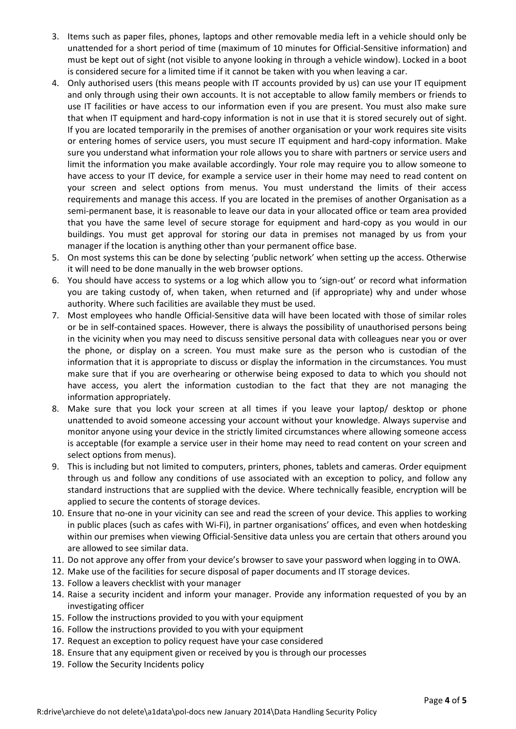- 3. Items such as paper files, phones, laptops and other removable media left in a vehicle should only be unattended for a short period of time (maximum of 10 minutes for Official-Sensitive information) and must be kept out of sight (not visible to anyone looking in through a vehicle window). Locked in a boot is considered secure for a limited time if it cannot be taken with you when leaving a car.
- 4. Only authorised users (this means people with IT accounts provided by us) can use your IT equipment and only through using their own accounts. It is not acceptable to allow family members or friends to use IT facilities or have access to our information even if you are present. You must also make sure that when IT equipment and hard-copy information is not in use that it is stored securely out of sight. If you are located temporarily in the premises of another organisation or your work requires site visits or entering homes of service users, you must secure IT equipment and hard-copy information. Make sure you understand what information your role allows you to share with partners or service users and limit the information you make available accordingly. Your role may require you to allow someone to have access to your IT device, for example a service user in their home may need to read content on your screen and select options from menus. You must understand the limits of their access requirements and manage this access. If you are located in the premises of another Organisation as a semi-permanent base, it is reasonable to leave our data in your allocated office or team area provided that you have the same level of secure storage for equipment and hard-copy as you would in our buildings. You must get approval for storing our data in premises not managed by us from your manager if the location is anything other than your permanent office base.
- 5. On most systems this can be done by selecting 'public network' when setting up the access. Otherwise it will need to be done manually in the web browser options.
- 6. You should have access to systems or a log which allow you to 'sign-out' or record what information you are taking custody of, when taken, when returned and (if appropriate) why and under whose authority. Where such facilities are available they must be used.
- 7. Most employees who handle Official-Sensitive data will have been located with those of similar roles or be in self-contained spaces. However, there is always the possibility of unauthorised persons being in the vicinity when you may need to discuss sensitive personal data with colleagues near you or over the phone, or display on a screen. You must make sure as the person who is custodian of the information that it is appropriate to discuss or display the information in the circumstances. You must make sure that if you are overhearing or otherwise being exposed to data to which you should not have access, you alert the information custodian to the fact that they are not managing the information appropriately.
- 8. Make sure that you lock your screen at all times if you leave your laptop/ desktop or phone unattended to avoid someone accessing your account without your knowledge. Always supervise and monitor anyone using your device in the strictly limited circumstances where allowing someone access is acceptable (for example a service user in their home may need to read content on your screen and select options from menus).
- 9. This is including but not limited to computers, printers, phones, tablets and cameras. Order equipment through us and follow any conditions of use associated with an exception to policy, and follow any standard instructions that are supplied with the device. Where technically feasible, encryption will be applied to secure the contents of storage devices.
- 10. Ensure that no-one in your vicinity can see and read the screen of your device. This applies to working in public places (such as cafes with Wi-Fi), in partner organisations' offices, and even when hotdesking within our premises when viewing Official-Sensitive data unless you are certain that others around you are allowed to see similar data.
- 11. Do not approve any offer from your device's browser to save your password when logging in to OWA.
- 12. Make use of the facilities for secure disposal of paper documents and IT storage devices.
- 13. Follow a leavers checklist with your manager
- 14. Raise a security incident and inform your manager. Provide any information requested of you by an investigating officer
- 15. Follow the instructions provided to you with your equipment
- 16. Follow the instructions provided to you with your equipment
- 17. Request an exception to policy request have your case considered
- 18. Ensure that any equipment given or received by you is through our processes
- 19. Follow the Security Incidents policy